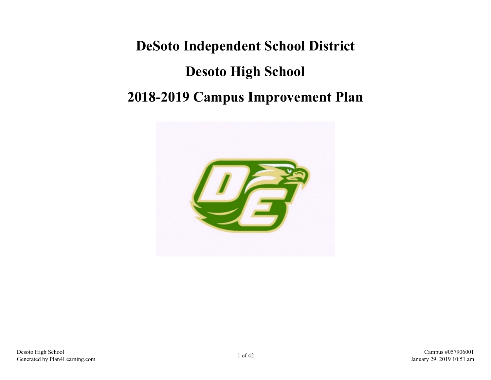# **DeSoto Independent School District Desoto High School 2018-2019 Campus Improvement Plan**

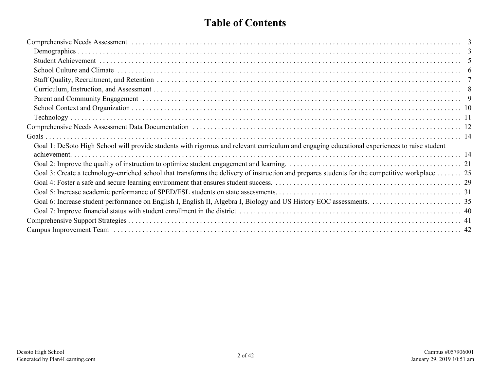### **Table of Contents**

| Goal 1: DeSoto High School will provide students with rigorous and relevant curriculum and engaging educational experiences to raise student    |  |
|-------------------------------------------------------------------------------------------------------------------------------------------------|--|
|                                                                                                                                                 |  |
|                                                                                                                                                 |  |
| Goal 3: Create a technology-enriched school that transforms the delivery of instruction and prepares students for the competitive workplace  25 |  |
|                                                                                                                                                 |  |
|                                                                                                                                                 |  |
|                                                                                                                                                 |  |
|                                                                                                                                                 |  |
|                                                                                                                                                 |  |
|                                                                                                                                                 |  |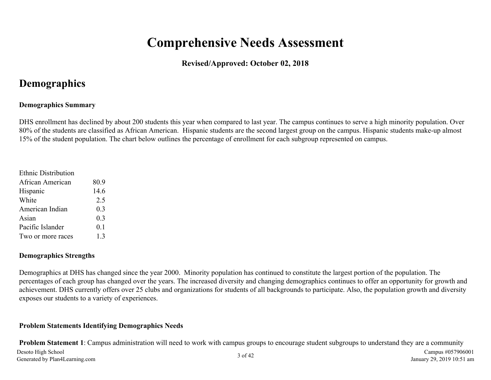# **Comprehensive Needs Assessment**

#### **Revised/Approved: October 02, 2018**

### <span id="page-2-0"></span>**Demographics**

#### **Demographics Summary**

DHS enrollment has declined by about 200 students this year when compared to last year. The campus continues to serve a high minority population. Over 80% of the students are classified as African American. Hispanic students are the second largest group on the campus. Hispanic students make-up almost 15% of the student population. The chart below outlines the percentage of enrollment for each subgroup represented on campus.

| <b>Ethnic Distribution</b> |      |
|----------------------------|------|
| African American           | 80.9 |
| Hispanic                   | 14.6 |
| White                      | 2.5  |
| American Indian            | 0.3  |
| Asian                      | 0.3  |
| Pacific Islander           | 0.1  |
| Two or more races          | 1.3  |

#### **Demographics Strengths**

Demographics at DHS has changed since the year 2000. Minority population has continued to constitute the largest portion of the population. The percentages of each group has changed over the years. The increased diversity and changing demographics continues to offer an opportunity for growth and achievement. DHS currently offers over 25 clubs and organizations for students of all backgrounds to participate. Also, the population growth and diversity exposes our students to a variety of experiences.

#### **Problem Statements Identifying Demographics Needs**

**Problem Statement 1**: Campus administration will need to work with campus groups to encourage student subgroups to understand they are a community Desoto High School Desoto High School Campus #057906001 Campus #057906001 Campus #057906001 Campus #057906001 Campus #057906001 Campus #057906001 Campus #057906001 Campus #057906001 Campus #057906001 Campus #057906001 Campus #057906001 Campu January 29, 2019 10:51 am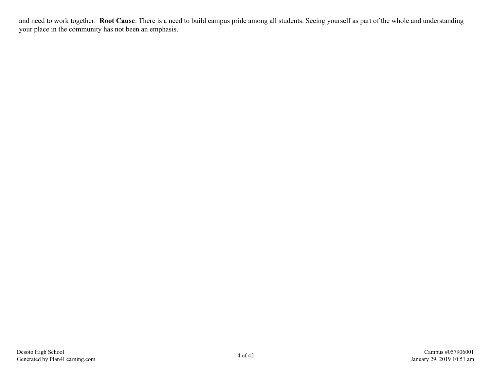and need to work together. **Root Cause**: There is a need to build campus pride among all students. Seeing yourself as part of the whole and understanding your place in the community has not been an emphasis.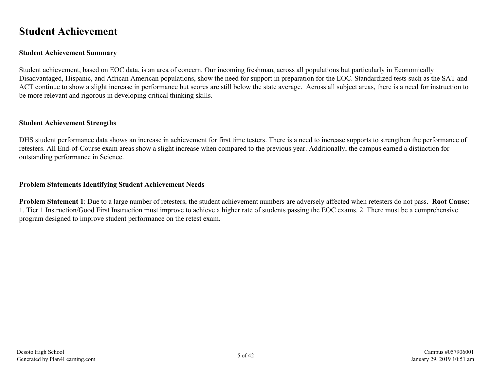### <span id="page-4-0"></span>**Student Achievement**

#### **Student Achievement Summary**

Student achievement, based on EOC data, is an area of concern. Our incoming freshman, across all populations but particularly in Economically Disadvantaged, Hispanic, and African American populations, show the need for support in preparation for the EOC. Standardized tests such as the SAT and ACT continue to show a slight increase in performance but scores are still below the state average. Across all subject areas, there is a need for instruction to be more relevant and rigorous in developing critical thinking skills.

#### **Student Achievement Strengths**

DHS student performance data shows an increase in achievement for first time testers. There is a need to increase supports to strengthen the performance of retesters. All End-of-Course exam areas show a slight increase when compared to the previous year. Additionally, the campus earned a distinction for outstanding performance in Science.

#### **Problem Statements Identifying Student Achievement Needs**

**Problem Statement 1**: Due to a large number of retesters, the student achievement numbers are adversely affected when retesters do not pass. **Root Cause**: 1. Tier 1 Instruction/Good First Instruction must improve to achieve a higher rate of students passing the EOC exams. 2. There must be a comprehensive program designed to improve student performance on the retest exam.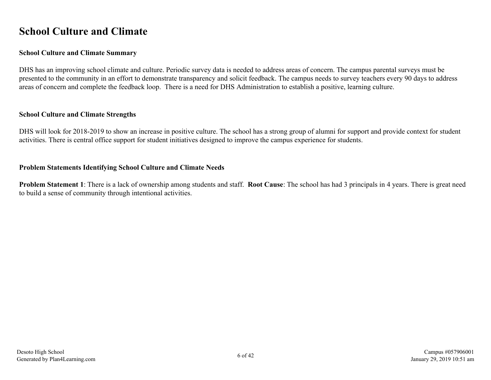### <span id="page-5-0"></span>**School Culture and Climate**

#### **School Culture and Climate Summary**

DHS has an improving school climate and culture. Periodic survey data is needed to address areas of concern. The campus parental surveys must be presented to the community in an effort to demonstrate transparency and solicit feedback. The campus needs to survey teachers every 90 days to address areas of concern and complete the feedback loop. There is a need for DHS Administration to establish a positive, learning culture.

#### **School Culture and Climate Strengths**

DHS will look for 2018-2019 to show an increase in positive culture. The school has a strong group of alumni for support and provide context for student activities. There is central office support for student initiatives designed to improve the campus experience for students.

#### **Problem Statements Identifying School Culture and Climate Needs**

**Problem Statement 1**: There is a lack of ownership among students and staff. **Root Cause**: The school has had 3 principals in 4 years. There is great need to build a sense of community through intentional activities.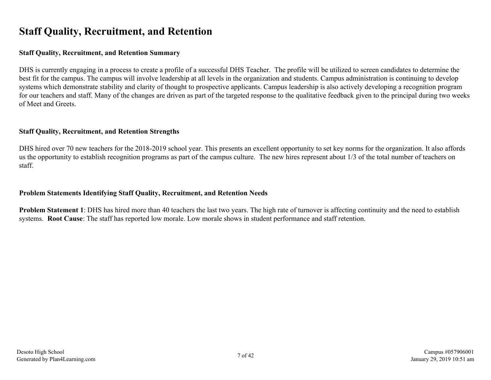### <span id="page-6-0"></span>**Staff Quality, Recruitment, and Retention**

#### **Staff Quality, Recruitment, and Retention Summary**

DHS is currently engaging in a process to create a profile of a successful DHS Teacher. The profile will be utilized to screen candidates to determine the best fit for the campus. The campus will involve leadership at all levels in the organization and students. Campus administration is continuing to develop systems which demonstrate stability and clarity of thought to prospective applicants. Campus leadership is also actively developing a recognition program for our teachers and staff. Many of the changes are driven as part of the targeted response to the qualitative feedback given to the principal during two weeks of Meet and Greets.

#### **Staff Quality, Recruitment, and Retention Strengths**

DHS hired over 70 new teachers for the 2018-2019 school year. This presents an excellent opportunity to set key norms for the organization. It also affords us the opportunity to establish recognition programs as part of the campus culture. The new hires represent about 1/3 of the total number of teachers on staff.

#### **Problem Statements Identifying Staff Quality, Recruitment, and Retention Needs**

**Problem Statement 1**: DHS has hired more than 40 teachers the last two years. The high rate of turnover is affecting continuity and the need to establish systems. **Root Cause**: The staff has reported low morale. Low morale shows in student performance and staff retention.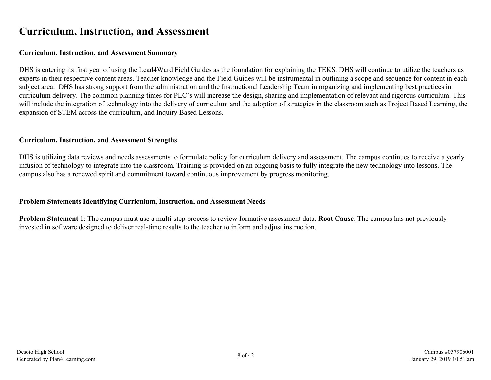### <span id="page-7-0"></span>**Curriculum, Instruction, and Assessment**

#### **Curriculum, Instruction, and Assessment Summary**

DHS is entering its first year of using the Lead4Ward Field Guides as the foundation for explaining the TEKS. DHS will continue to utilize the teachers as experts in their respective content areas. Teacher knowledge and the Field Guides will be instrumental in outlining a scope and sequence for content in each subject area. DHS has strong support from the administration and the Instructional Leadership Team in organizing and implementing best practices in curriculum delivery. The common planning times for PLC's will increase the design, sharing and implementation of relevant and rigorous curriculum. This will include the integration of technology into the delivery of curriculum and the adoption of strategies in the classroom such as Project Based Learning, the expansion of STEM across the curriculum, and Inquiry Based Lessons.

#### **Curriculum, Instruction, and Assessment Strengths**

DHS is utilizing data reviews and needs assessments to formulate policy for curriculum delivery and assessment. The campus continues to receive a yearly infusion of technology to integrate into the classroom. Training is provided on an ongoing basis to fully integrate the new technology into lessons. The campus also has a renewed spirit and commitment toward continuous improvement by progress monitoring.

#### **Problem Statements Identifying Curriculum, Instruction, and Assessment Needs**

**Problem Statement 1**: The campus must use a multi-step process to review formative assessment data. **Root Cause**: The campus has not previously invested in software designed to deliver real-time results to the teacher to inform and adjust instruction.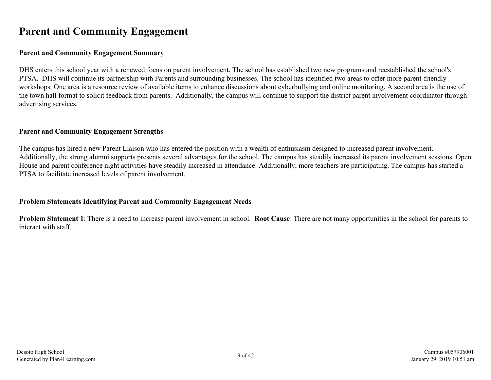### <span id="page-8-0"></span>**Parent and Community Engagement**

#### **Parent and Community Engagement Summary**

DHS enters this school year with a renewed focus on parent involvement. The school has established two new programs and reestablished the school's PTSA. DHS will continue its partnership with Parents and surrounding businesses. The school has identified two areas to offer more parent-friendly workshops. One area is a resource review of available items to enhance discussions about cyberbullying and online monitoring. A second area is the use of the town hall format to solicit feedback from parents. Additionally, the campus will continue to support the district parent involvement coordinator through advertising services.

#### **Parent and Community Engagement Strengths**

The campus has hired a new Parent Liaison who has entered the position with a wealth of enthusiasm designed to increased parent involvement. Additionally, the strong alumni supports presents several advantages for the school. The campus has steadily increased its parent involvement sessions. Open House and parent conference night activities have steadily increased in attendance. Additionally, more teachers are participating. The campus has started a PTSA to facilitate increased levels of parent involvement.

#### **Problem Statements Identifying Parent and Community Engagement Needs**

**Problem Statement 1**: There is a need to increase parent involvement in school. **Root Cause**: There are not many opportunities in the school for parents to interact with staff.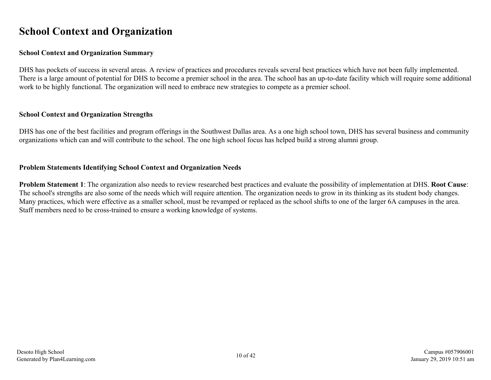### <span id="page-9-0"></span>**School Context and Organization**

#### **School Context and Organization Summary**

DHS has pockets of success in several areas. A review of practices and procedures reveals several best practices which have not been fully implemented. There is a large amount of potential for DHS to become a premier school in the area. The school has an up-to-date facility which will require some additional work to be highly functional. The organization will need to embrace new strategies to compete as a premier school.

#### **School Context and Organization Strengths**

DHS has one of the best facilities and program offerings in the Southwest Dallas area. As a one high school town, DHS has several business and community organizations which can and will contribute to the school. The one high school focus has helped build a strong alumni group.

#### **Problem Statements Identifying School Context and Organization Needs**

**Problem Statement 1**: The organization also needs to review researched best practices and evaluate the possibility of implementation at DHS. **Root Cause**: The school's strengths are also some of the needs which will require attention. The organization needs to grow in its thinking as its student body changes. Many practices, which were effective as a smaller school, must be revamped or replaced as the school shifts to one of the larger 6A campuses in the area. Staff members need to be cross-trained to ensure a working knowledge of systems.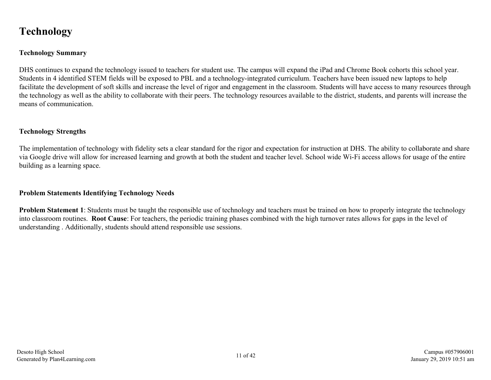### <span id="page-10-0"></span>**Technology**

#### **Technology Summary**

DHS continues to expand the technology issued to teachers for student use. The campus will expand the iPad and Chrome Book cohorts this school year. Students in 4 identified STEM fields will be exposed to PBL and a technology-integrated curriculum. Teachers have been issued new laptops to help facilitate the development of soft skills and increase the level of rigor and engagement in the classroom. Students will have access to many resources through the technology as well as the ability to collaborate with their peers. The technology resources available to the district, students, and parents will increase the means of communication.

#### **Technology Strengths**

The implementation of technology with fidelity sets a clear standard for the rigor and expectation for instruction at DHS. The ability to collaborate and share via Google drive will allow for increased learning and growth at both the student and teacher level. School wide Wi-Fi access allows for usage of the entire building as a learning space.

#### **Problem Statements Identifying Technology Needs**

**Problem Statement 1**: Students must be taught the responsible use of technology and teachers must be trained on how to properly integrate the technology into classroom routines. **Root Cause**: For teachers, the periodic training phases combined with the high turnover rates allows for gaps in the level of understanding . Additionally, students should attend responsible use sessions.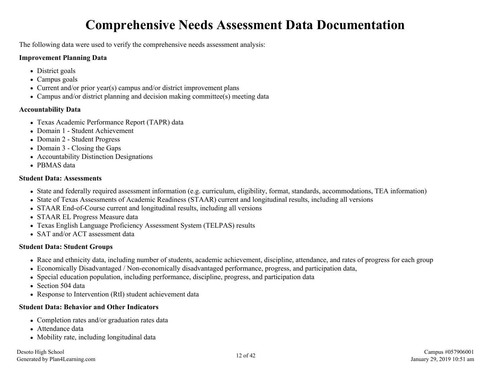# **Comprehensive Needs Assessment Data Documentation**

<span id="page-11-0"></span>The following data were used to verify the comprehensive needs assessment analysis:

#### **Improvement Planning Data**

- District goals
- Campus goals
- Current and/or prior year(s) campus and/or district improvement plans
- Campus and/or district planning and decision making committee(s) meeting data

#### **Accountability Data**

- Texas Academic Performance Report (TAPR) data
- Domain 1 Student Achievement
- Domain 2 Student Progress
- Domain 3 Closing the Gaps
- Accountability Distinction Designations
- PBMAS data

#### **Student Data: Assessments**

- State and federally required assessment information (e.g. curriculum, eligibility, format, standards, accommodations, TEA information)
- State of Texas Assessments of Academic Readiness (STAAR) current and longitudinal results, including all versions
- STAAR End-of-Course current and longitudinal results, including all versions
- STAAR EL Progress Measure data
- Texas English Language Proficiency Assessment System (TELPAS) results
- SAT and/or ACT assessment data

#### **Student Data: Student Groups**

- Race and ethnicity data, including number of students, academic achievement, discipline, attendance, and rates of progress for each group
- Economically Disadvantaged / Non-economically disadvantaged performance, progress, and participation data,
- Special education population, including performance, discipline, progress, and participation data
- Section 504 data
- Response to Intervention (RtI) student achievement data

#### **Student Data: Behavior and Other Indicators**

- Completion rates and/or graduation rates data
- Attendance data
- Mobility rate, including longitudinal data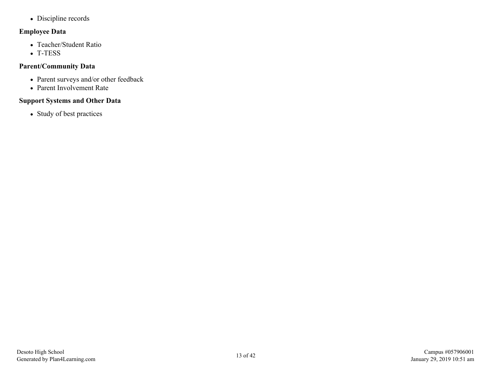• Discipline records

#### **Employee Data**

- Teacher/Student Ratio
- T-TESS

#### **Parent/Community Data**

- Parent surveys and/or other feedback
- Parent Involvement Rate

#### **Support Systems and Other Data**

• Study of best practices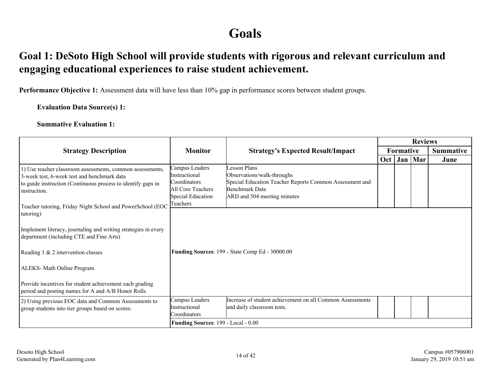## **Goals**

### <span id="page-13-0"></span>**Goal 1: DeSoto High School will provide students with rigorous and relevant curriculum and engaging educational experiences to raise student achievement.**

**Performance Objective 1:** Assessment data will have less than 10% gap in performance scores between student groups.

**Evaluation Data Source(s) 1:**

**Summative Evaluation 1:**

|                                                                                                                                                                                                                                                          |                                                                                                       |                                                                                                                                                        |     |                  | <b>Reviews</b> |                  |
|----------------------------------------------------------------------------------------------------------------------------------------------------------------------------------------------------------------------------------------------------------|-------------------------------------------------------------------------------------------------------|--------------------------------------------------------------------------------------------------------------------------------------------------------|-----|------------------|----------------|------------------|
| <b>Strategy Description</b>                                                                                                                                                                                                                              | <b>Monitor</b>                                                                                        | <b>Strategy's Expected Result/Impact</b>                                                                                                               |     | <b>Formative</b> |                | <b>Summative</b> |
|                                                                                                                                                                                                                                                          |                                                                                                       |                                                                                                                                                        | Oct | Jan              | Mar            | June             |
| 1) Use teacher classroom assessments, common assessments,<br>3-week test, 6-week test and benchmark data<br>to guide instruction (Continuous process to identify gaps in<br>instruction.                                                                 | Campus Leaders<br>Instructional<br>Coordinators<br>All Core Teachers<br>Special Education<br>Teachers | Lesson Plans<br>Observations/walk-throughs<br>Special Education Teacher Reports Common Assessment and<br>Benchmark Data<br>ARD and 504 meeting minutes |     |                  |                |                  |
| Teacher tutoring, Friday Night School and PowerSchool (EOC<br>tutoring)<br>Implement literacy, journaling and writing strategies in every<br>department (including CTE and Fine Arts)<br>Reading 1 & 2 intervention classes<br>ALEKS-Math Online Program |                                                                                                       | Funding Sources: 199 - State Comp Ed - 30000.00                                                                                                        |     |                  |                |                  |
| Provide incentives for student achievement each grading<br>period and posting names for A and A/B Honor Rolls                                                                                                                                            |                                                                                                       |                                                                                                                                                        |     |                  |                |                  |
| 2) Using previous EOC data and Common Assessments to<br>group students into tier groups based on scores.                                                                                                                                                 | Campus Leaders<br>Instructional<br>Coordinators                                                       | Increase of student achievement on all Common Assessments<br>and daily classroom tests.                                                                |     |                  |                |                  |
|                                                                                                                                                                                                                                                          | Funding Sources: 199 - Local - 0.00                                                                   |                                                                                                                                                        |     |                  |                |                  |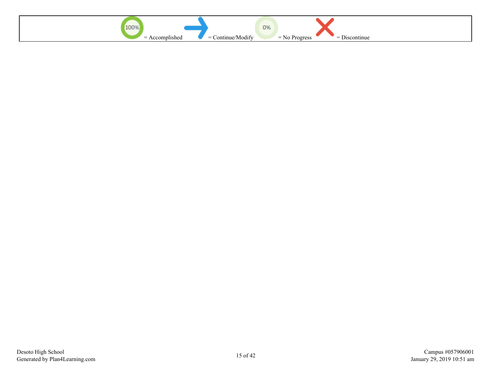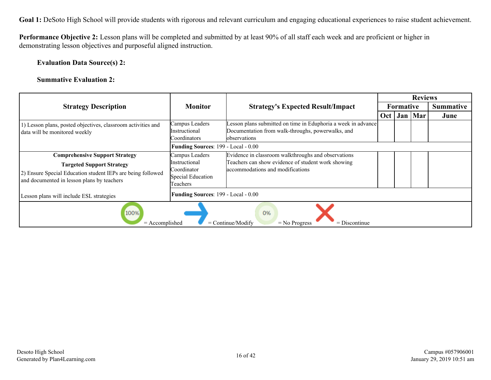**Performance Objective 2:** Lesson plans will be completed and submitted by at least 90% of all staff each week and are proficient or higher in demonstrating lesson objectives and purposeful aligned instruction.

**Evaluation Data Source(s) 2:**

**Summative Evaluation 2:**

|                                                                                                                                                                                        |                                                                                        |                                                                                                                                               |     |                  | <b>Reviews</b> |                  |
|----------------------------------------------------------------------------------------------------------------------------------------------------------------------------------------|----------------------------------------------------------------------------------------|-----------------------------------------------------------------------------------------------------------------------------------------------|-----|------------------|----------------|------------------|
| <b>Strategy Description</b>                                                                                                                                                            | <b>Monitor</b>                                                                         | <b>Strategy's Expected Result/Impact</b>                                                                                                      |     | <b>Formative</b> |                | <b>Summative</b> |
|                                                                                                                                                                                        |                                                                                        |                                                                                                                                               | Oct |                  | Jan   Mar      | June             |
| 1) Lesson plans, posted objectives, classroom activities and<br>data will be monitored weekly                                                                                          | Campus Leaders<br>Instructional<br>Coordinators<br>Funding Sources: 199 - Local - 0.00 | Lesson plans submitted on time in Eduphoria a week in advance<br>Documentation from walk-throughs, powerwalks, and<br>observations            |     |                  |                |                  |
| <b>Comprehensive Support Strategy</b><br><b>Targeted Support Strategy</b><br>2) Ensure Special Education student IEPs are being followed<br>and documented in lesson plans by teachers | Campus Leaders<br>Instructional<br>Coordinator<br>Special Education<br>Teachers        | Evidence in classroom walkthroughs and observations<br>Teachers can show evidence of student work showing<br>accommodations and modifications |     |                  |                |                  |
| Lesson plans will include ESL strategies                                                                                                                                               | Funding Sources: 199 - Local - 0.00                                                    |                                                                                                                                               |     |                  |                |                  |
| 100%<br>0%<br>$=$ Continue/Modify<br>$=$ Discontinue<br>$=$ Accomplished<br>$=$ No Progress                                                                                            |                                                                                        |                                                                                                                                               |     |                  |                |                  |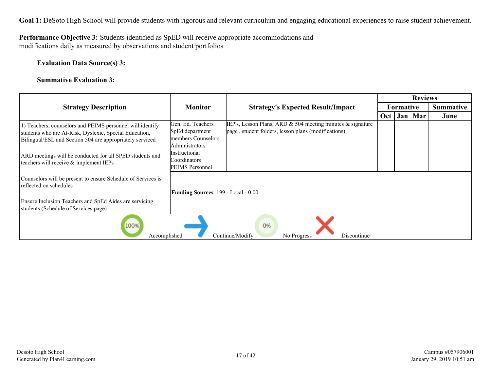#### **Performance Objective 3:** Students identified as SpED will receive appropriate accommodations and modifications daily as measured by observations and student portfolios

#### **Evaluation Data Source(s) 3:**

#### **Summative Evaluation 3:**

|                                                                                                                                                                                 |                                                                              |                                                                                                                   |     |                  | <b>Reviews</b> |                  |
|---------------------------------------------------------------------------------------------------------------------------------------------------------------------------------|------------------------------------------------------------------------------|-------------------------------------------------------------------------------------------------------------------|-----|------------------|----------------|------------------|
| <b>Strategy Description</b>                                                                                                                                                     | <b>Monitor</b>                                                               | <b>Strategy's Expected Result/Impact</b>                                                                          |     | <b>Formative</b> |                | <b>Summative</b> |
|                                                                                                                                                                                 |                                                                              |                                                                                                                   | Oct | Jan              | Mar            | June             |
| 1) Teachers, counselors and PEIMS personnel will identify<br>students who are At-Risk, Dyslexic, Special Education,<br>Bilingual/ESL and Section 504 are appropriately serviced | Gen. Ed. Teachers<br>SpEd department<br>members Counselors<br>Administrators | IEP's, Lesson Plans, ARD & 504 meeting minutes & signature<br>page, student folders, lesson plans (modifications) |     |                  |                |                  |
| ARD meetings will be conducted for all SPED students and<br>teachers will receive & implement IEPs                                                                              | Instructional<br>Coordinators<br>PEIMS Personnel                             |                                                                                                                   |     |                  |                |                  |
| Counselors will be present to ensure Schedule of Services is<br>reflected on schedules                                                                                          | Funding Sources: 199 - Local - 0.00                                          |                                                                                                                   |     |                  |                |                  |
| Ensure Inclusion Teachers and SpEd Aides are servicing<br>students (Schedule of Services page)                                                                                  |                                                                              |                                                                                                                   |     |                  |                |                  |
| 100%<br>$=$ Accomplished                                                                                                                                                        |                                                                              | 0%<br>$=$ Continue/Modify<br>$=$ Discontinue<br>$=$ No Progress                                                   |     |                  |                |                  |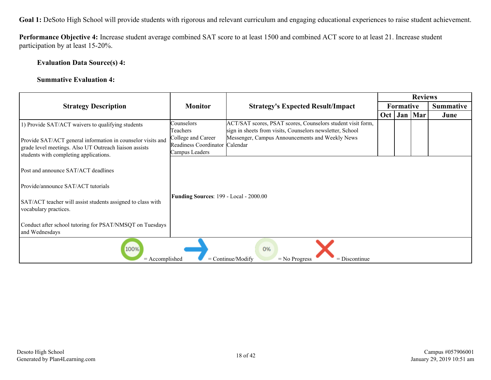**Performance Objective 4:** Increase student average combined SAT score to at least 1500 and combined ACT score to at least 21. Increase student participation by at least 15-20%.

#### **Evaluation Data Source(s) 4:**

#### **Summative Evaluation 4:**

|                                                                                                                                                                   |                                                                        |                                                                                                                          |                  | <b>Reviews</b> |                  |
|-------------------------------------------------------------------------------------------------------------------------------------------------------------------|------------------------------------------------------------------------|--------------------------------------------------------------------------------------------------------------------------|------------------|----------------|------------------|
| <b>Strategy Description</b>                                                                                                                                       | <b>Monitor</b>                                                         | <b>Strategy's Expected Result/Impact</b>                                                                                 | <b>Formative</b> |                | <b>Summative</b> |
|                                                                                                                                                                   |                                                                        |                                                                                                                          | $Oct$   Jan      | Mar            | June             |
| 1) Provide SAT/ACT waivers to qualifying students                                                                                                                 | Counselors<br>Teachers                                                 | ACT/SAT scores, PSAT scores, Counselors student visit form,<br>sign in sheets from visits, Counselors newsletter, School |                  |                |                  |
| Provide SAT/ACT general information in counselor visits and<br>grade level meetings. Also UT Outreach liaison assists<br>students with completing applications.   | College and Career<br>Readiness Coordinator Calendar<br>Campus Leaders | Messenger, Campus Announcements and Weekly News                                                                          |                  |                |                  |
| Post and announce SAT/ACT deadlines<br>Provide/announce SAT/ACT tutorials<br>SAT/ACT teacher will assist students assigned to class with<br>vocabulary practices. | Funding Sources: 199 - Local - 2000.00                                 |                                                                                                                          |                  |                |                  |
| Conduct after school tutoring for PSAT/NMSQT on Tuesdays<br>and Wednesdays                                                                                        |                                                                        |                                                                                                                          |                  |                |                  |
| 100%<br>$=$ Accomplished                                                                                                                                          |                                                                        | 0%<br>$=$ Continue/Modify<br>$=$ Discontinue<br>$=$ No Progress                                                          |                  |                |                  |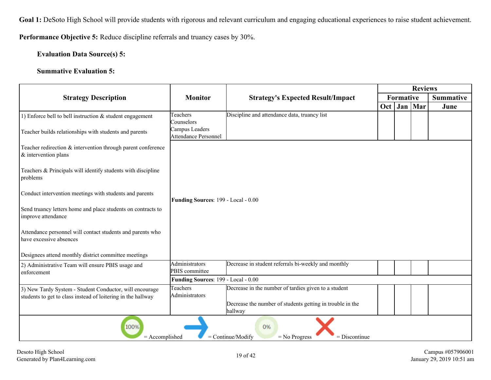**Performance Objective 5:** Reduce discipline referrals and truancy cases by 30%.

**Evaluation Data Source(s) 5:**

#### **Summative Evaluation 5:**

|                                                                                                                         |                                        |                                                                      |     |           | <b>Reviews</b> |                  |
|-------------------------------------------------------------------------------------------------------------------------|----------------------------------------|----------------------------------------------------------------------|-----|-----------|----------------|------------------|
| <b>Strategy Description</b>                                                                                             | <b>Monitor</b>                         | <b>Strategy's Expected Result/Impact</b>                             |     | Formative |                | <b>Summative</b> |
|                                                                                                                         |                                        |                                                                      | Oct |           | Jan   Mar      | June             |
| 1) Enforce bell to bell instruction $&$ student engagement                                                              | Teachers<br>Counselors                 | Discipline and attendance data, truancy list                         |     |           |                |                  |
| Teacher builds relationships with students and parents                                                                  | Campus Leaders<br>Attendance Personnel |                                                                      |     |           |                |                  |
| Teacher redirection & intervention through parent conference<br>$&$ intervention plans                                  |                                        |                                                                      |     |           |                |                  |
| Teachers & Principals will identify students with discipline<br>problems                                                |                                        |                                                                      |     |           |                |                  |
| Conduct intervention meetings with students and parents                                                                 | Funding Sources: 199 - Local - 0.00    |                                                                      |     |           |                |                  |
| Send truancy letters home and place students on contracts to<br>improve attendance                                      |                                        |                                                                      |     |           |                |                  |
| Attendance personnel will contact students and parents who<br>have excessive absences                                   |                                        |                                                                      |     |           |                |                  |
| Designees attend monthly district committee meetings                                                                    |                                        |                                                                      |     |           |                |                  |
| 2) Administrative Team will ensure PBIS usage and<br>enforcement                                                        | Administrators<br>PBIS committee       | Decrease in student referrals bi-weekly and monthly                  |     |           |                |                  |
|                                                                                                                         | Funding Sources: 199 - Local - 0.00    |                                                                      |     |           |                |                  |
| 3) New Tardy System - Student Conductor, will encourage<br>students to get to class instead of loitering in the hallway | Teachers<br>Administrators             | Decrease in the number of tardies given to a student                 |     |           |                |                  |
|                                                                                                                         |                                        | Decrease the number of students getting in trouble in the<br>hallway |     |           |                |                  |
| 100%<br>0%<br>$=$ Continue/Modify<br>$=$ Accomplished<br>$=$ No Progress<br>$=$ Discontinue                             |                                        |                                                                      |     |           |                |                  |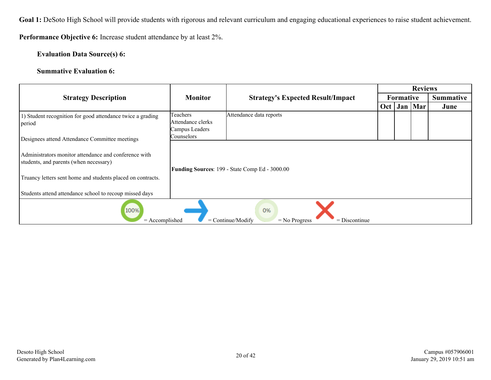**Performance Objective 6:** Increase student attendance by at least 2%.

#### **Evaluation Data Source(s) 6:**

#### **Summative Evaluation 6:**

|                                                             |                   |                                                           |     | <b>Reviews</b> |     |           |
|-------------------------------------------------------------|-------------------|-----------------------------------------------------------|-----|----------------|-----|-----------|
| <b>Strategy Description</b>                                 | <b>Monitor</b>    | <b>Strategy's Expected Result/Impact</b>                  |     | Formative      |     | Summative |
|                                                             |                   |                                                           | Oct | Jan            | Mar | June      |
| 1) Student recognition for good attendance twice a grading  | Teachers          | Attendance data reports                                   |     |                |     |           |
| period                                                      | Attendance clerks |                                                           |     |                |     |           |
|                                                             | Campus Leaders    |                                                           |     |                |     |           |
| Designees attend Attendance Committee meetings              | Counselors        |                                                           |     |                |     |           |
|                                                             |                   |                                                           |     |                |     |           |
| Administrators monitor attendance and conference with       |                   |                                                           |     |                |     |           |
| students, and parents (when necessary)                      |                   |                                                           |     |                |     |           |
|                                                             |                   | <b>Funding Sources: 199 - State Comp Ed - 3000.00</b>     |     |                |     |           |
| Truancy letters sent home and students placed on contracts. |                   |                                                           |     |                |     |           |
|                                                             |                   |                                                           |     |                |     |           |
| Students attend attendance school to recoup missed days     |                   |                                                           |     |                |     |           |
|                                                             |                   |                                                           |     |                |     |           |
| 100%                                                        |                   | 0%                                                        |     |                |     |           |
| $=$ Accomplished                                            |                   | $=$ Continue/Modify<br>$=$ Discontinue<br>$=$ No Progress |     |                |     |           |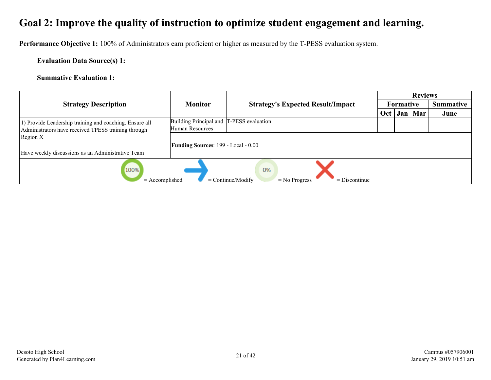<span id="page-20-0"></span>**Performance Objective 1:** 100% of Administrators earn proficient or higher as measured by the T-PESS evaluation system.

**Evaluation Data Source(s) 1:**

**Summative Evaluation 1:**

|                                                         |                                            |                                                                 | <b>Reviews</b> |           |           |                  |
|---------------------------------------------------------|--------------------------------------------|-----------------------------------------------------------------|----------------|-----------|-----------|------------------|
| <b>Strategy Description</b>                             | <b>Monitor</b>                             | <b>Strategy's Expected Result/Impact</b>                        |                | Formative |           | <b>Summative</b> |
|                                                         |                                            |                                                                 | Oct            |           | Jan   Mar | June             |
| 1) Provide Leadership training and coaching. Ensure all | Building Principal and T-PESS evaluation   |                                                                 |                |           |           |                  |
| Administrators have received TPESS training through     | Human Resources                            |                                                                 |                |           |           |                  |
| Region X                                                |                                            |                                                                 |                |           |           |                  |
|                                                         | <b>Funding Sources: 199 - Local - 0.00</b> |                                                                 |                |           |           |                  |
| Have weekly discussions as an Administrative Team       |                                            |                                                                 |                |           |           |                  |
| 100%<br>$=$ Accomplished                                |                                            | 0%<br>$=$ Continue/Modify<br>$=$ Discontinue<br>$=$ No Progress |                |           |           |                  |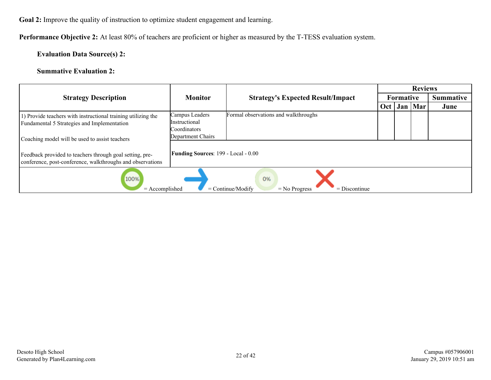**Performance Objective 2:** At least 80% of teachers are proficient or higher as measured by the T-TESS evaluation system.

#### **Evaluation Data Source(s) 2:**

#### **Summative Evaluation 2:**

|                                                                                                                        |                                            |                                                                 | <b>Reviews</b> |                  |           |                  |
|------------------------------------------------------------------------------------------------------------------------|--------------------------------------------|-----------------------------------------------------------------|----------------|------------------|-----------|------------------|
| <b>Strategy Description</b>                                                                                            | <b>Monitor</b>                             | <b>Strategy's Expected Result/Impact</b>                        |                | <b>Formative</b> |           | <b>Summative</b> |
|                                                                                                                        |                                            |                                                                 | Oct            |                  | Jan   Mar | June             |
| 1) Provide teachers with instructional training utilizing the<br>Fundamental 5 Strategies and Implementation           | Campus Leaders<br><i>Instructional</i>     | Formal observations and walkthroughs                            |                |                  |           |                  |
| Coaching model will be used to assist teachers                                                                         | Coordinators<br>Department Chairs          |                                                                 |                |                  |           |                  |
| Feedback provided to teachers through goal setting, pre-<br>conference, post-conference, walkthroughs and observations | <b>Funding Sources: 199 - Local - 0.00</b> |                                                                 |                |                  |           |                  |
| 100%<br>$=$ Accomplished                                                                                               |                                            | 0%<br>$=$ Continue/Modify<br>$=$ No Progress<br>$=$ Discontinue |                |                  |           |                  |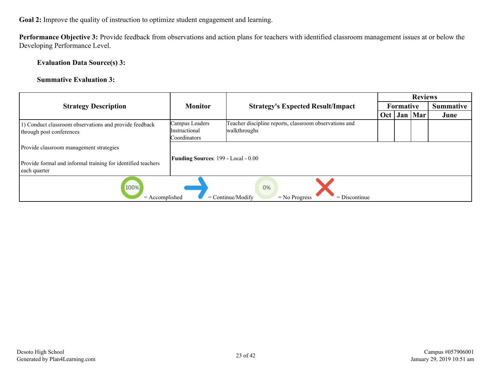**Performance Objective 3:** Provide feedback from observations and action plans for teachers with identified classroom management issues at or below the Developing Performance Level.

**Evaluation Data Source(s) 3:**

**Summative Evaluation 3:**

|                                                                                    |                                                        |                                                                        |     |           | <b>Reviews</b> |                  |
|------------------------------------------------------------------------------------|--------------------------------------------------------|------------------------------------------------------------------------|-----|-----------|----------------|------------------|
| <b>Strategy Description</b>                                                        | <b>Monitor</b>                                         | <b>Strategy's Expected Result/Impact</b>                               |     | Formative |                | <b>Summative</b> |
|                                                                                    |                                                        |                                                                        | Oct |           | Jan   Mar      | June             |
| 1) Conduct classroom observations and provide feedback<br>through post conferences | Campus Leaders<br><i>Instructional</i><br>Coordinators | Teacher discipline reports, classroom observations and<br>walkthroughs |     |           |                |                  |
| Provide classroom management strategies                                            | <b>Funding Sources: 199 - Local - 0.00</b>             |                                                                        |     |           |                |                  |
| Provide formal and informal training for identified teachers<br>each quarter       |                                                        |                                                                        |     |           |                |                  |
| 100%<br>$=$ Accomplished                                                           |                                                        | 0%<br>$=$ Continue/Modify<br>$=$ Discontinue<br>$=$ No Progress        |     |           |                |                  |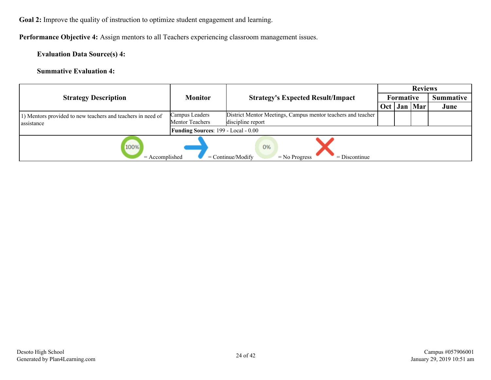**Performance Objective 4:** Assign mentors to all Teachers experiencing classroom management issues.

**Evaluation Data Source(s) 4:**

**Summative Evaluation 4:**

|                                                             |                                            |                                                                 |                  |           | <b>Reviews</b> |                  |
|-------------------------------------------------------------|--------------------------------------------|-----------------------------------------------------------------|------------------|-----------|----------------|------------------|
| <b>Strategy Description</b>                                 | <b>Monitor</b>                             | <b>Strategy's Expected Result/Impact</b>                        |                  | Formative |                | <b>Summative</b> |
|                                                             |                                            |                                                                 | Oct <sub>1</sub> |           | Jan   Mar      | June             |
| 1) Mentors provided to new teachers and teachers in need of | Campus Leaders                             | District Mentor Meetings, Campus mentor teachers and teacher    |                  |           |                |                  |
| assistance                                                  | Mentor Teachers                            | discipline report                                               |                  |           |                |                  |
|                                                             | <b>Funding Sources: 199 - Local - 0.00</b> |                                                                 |                  |           |                |                  |
| 100%<br>$=$ Accomplished                                    |                                            | 0%<br>$=$ Continue/Modify<br>$=$ Discontinue<br>$=$ No Progress |                  |           |                |                  |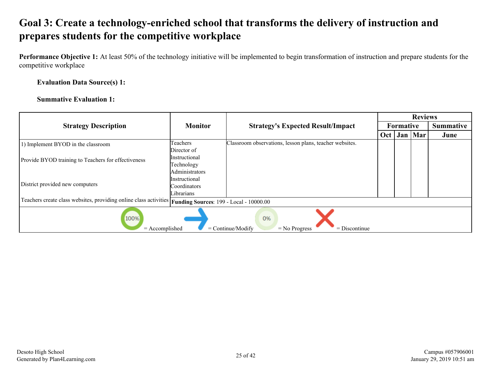### <span id="page-24-0"></span>**Goal 3: Create a technology-enriched school that transforms the delivery of instruction and prepares students for the competitive workplace**

**Performance Objective 1:** At least 50% of the technology initiative will be implemented to begin transformation of instruction and prepare students for the competitive workplace

#### **Evaluation Data Source(s) 1:**

#### **Summative Evaluation 1:**

|                                                                                                             |                      | <b>Strategy's Expected Result/Impact</b>                | <b>Reviews</b> |                  |                  |      |  |  |
|-------------------------------------------------------------------------------------------------------------|----------------------|---------------------------------------------------------|----------------|------------------|------------------|------|--|--|
| <b>Strategy Description</b>                                                                                 | <b>Monitor</b>       |                                                         |                | <b>Formative</b> | <b>Summative</b> |      |  |  |
|                                                                                                             |                      |                                                         | Oct            | Jan              | Mar              | June |  |  |
| 1) Implement BYOD in the classroom                                                                          | Teachers             | Classroom observations, lesson plans, teacher websites. |                |                  |                  |      |  |  |
|                                                                                                             | Director of          |                                                         |                |                  |                  |      |  |  |
| Provide BYOD training to Teachers for effectiveness                                                         | Instructional        |                                                         |                |                  |                  |      |  |  |
|                                                                                                             | Technology           |                                                         |                |                  |                  |      |  |  |
|                                                                                                             | Administrators       |                                                         |                |                  |                  |      |  |  |
|                                                                                                             | <b>Instructional</b> |                                                         |                |                  |                  |      |  |  |
| District provided new computers                                                                             | Coordinators         |                                                         |                |                  |                  |      |  |  |
|                                                                                                             | Librarians           |                                                         |                |                  |                  |      |  |  |
| Teachers create class websites, providing online class activities   Funding Sources: 199 - Local - 10000.00 |                      |                                                         |                |                  |                  |      |  |  |
| 100%<br>0%<br>$=$ Continue/Modify<br>$=$ Accomplished<br>$=$ Discontinue<br>$=$ No Progress                 |                      |                                                         |                |                  |                  |      |  |  |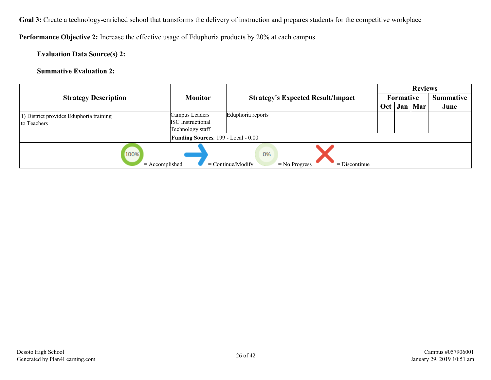Goal 3: Create a technology-enriched school that transforms the delivery of instruction and prepares students for the competitive workplace

**Performance Objective 2:** Increase the effective usage of Eduphoria products by 20% at each campus

**Evaluation Data Source(s) 2:**

**Summative Evaluation 2:**

|                                                                                             |                                     |                                          |     | <b>Reviews</b> |                  |      |  |  |
|---------------------------------------------------------------------------------------------|-------------------------------------|------------------------------------------|-----|----------------|------------------|------|--|--|
| <b>Strategy Description</b>                                                                 | <b>Monitor</b>                      | <b>Strategy's Expected Result/Impact</b> |     | Formative      | <b>Summative</b> |      |  |  |
|                                                                                             |                                     |                                          | Oct |                | Jan Mar          | June |  |  |
| 1) District provides Eduphoria training                                                     | Campus Leaders                      | Eduphoria reports                        |     |                |                  |      |  |  |
| to Teachers                                                                                 | <b>ISC</b> Instructional            |                                          |     |                |                  |      |  |  |
|                                                                                             | Technology staff                    |                                          |     |                |                  |      |  |  |
|                                                                                             | Funding Sources: 199 - Local - 0.00 |                                          |     |                |                  |      |  |  |
| 100%<br>0%<br>$=$ Accomplished<br>$=$ Continue/Modify<br>$=$ Discontinue<br>$=$ No Progress |                                     |                                          |     |                |                  |      |  |  |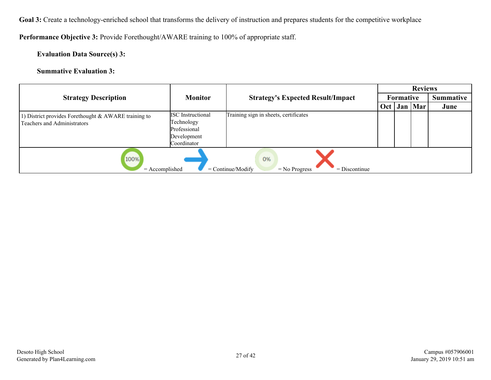Goal 3: Create a technology-enriched school that transforms the delivery of instruction and prepares students for the competitive workplace

**Performance Objective 3:** Provide Forethought/AWARE training to 100% of appropriate staff.

**Evaluation Data Source(s) 3:**

**Summative Evaluation 3:**

|                                                                                             |                                                                                      |                                          |     | <b>Reviews</b>   |           |                  |  |  |
|---------------------------------------------------------------------------------------------|--------------------------------------------------------------------------------------|------------------------------------------|-----|------------------|-----------|------------------|--|--|
| <b>Strategy Description</b>                                                                 | <b>Monitor</b>                                                                       | <b>Strategy's Expected Result/Impact</b> |     | <b>Formative</b> |           | <b>Summative</b> |  |  |
|                                                                                             |                                                                                      |                                          | Oct |                  | Jan   Mar | June             |  |  |
| 1) District provides Forethought & AWARE training to<br>Teachers and Administrators         | <b>ISC</b> Instructional<br>Technology<br>Professional<br>Development<br>Coordinator | Training sign in sheets, certificates    |     |                  |           |                  |  |  |
| 100%<br>0%<br>$=$ Accomplished<br>$=$ Continue/Modify<br>$=$ Discontinue<br>$=$ No Progress |                                                                                      |                                          |     |                  |           |                  |  |  |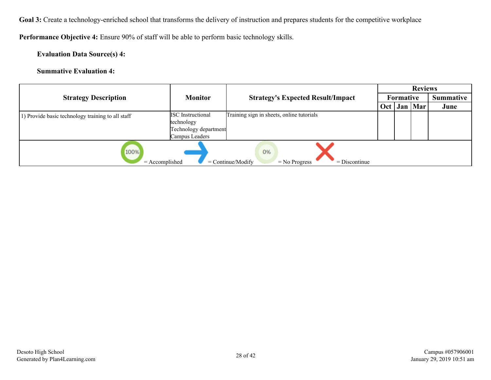Goal 3: Create a technology-enriched school that transforms the delivery of instruction and prepares students for the competitive workplace

**Performance Objective 4:** Ensure 90% of staff will be able to perform basic technology skills.

**Evaluation Data Source(s) 4:**

**Summative Evaluation 4:**

|                                                                                             |                          | <b>Strategy's Expected Result/Impact</b>  | <b>Reviews</b> |                  |                  |      |  |  |
|---------------------------------------------------------------------------------------------|--------------------------|-------------------------------------------|----------------|------------------|------------------|------|--|--|
| <b>Strategy Description</b>                                                                 | <b>Monitor</b>           |                                           |                | <b>Formative</b> | <b>Summative</b> |      |  |  |
|                                                                                             |                          |                                           | Oct            |                  | Jan   Mar        | June |  |  |
| 1) Provide basic technology training to all staff                                           | <b>ISC</b> Instructional | Training sign in sheets, online tutorials |                |                  |                  |      |  |  |
|                                                                                             | technology               |                                           |                |                  |                  |      |  |  |
|                                                                                             | Technology department    |                                           |                |                  |                  |      |  |  |
|                                                                                             | Campus Leaders           |                                           |                |                  |                  |      |  |  |
| 100%<br>0%<br>$=$ Continue/Modify<br>$=$ Accomplished<br>$=$ Discontinue<br>$=$ No Progress |                          |                                           |                |                  |                  |      |  |  |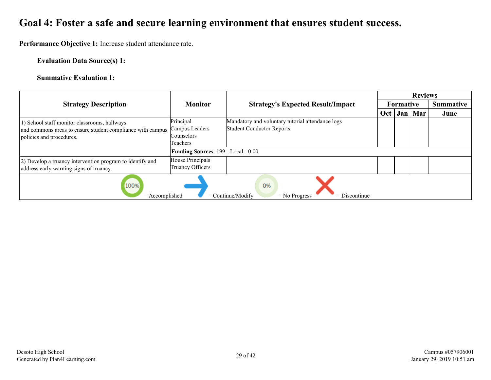### <span id="page-28-0"></span>**Goal 4: Foster a safe and secure learning environment that ensures student success.**

**Performance Objective 1:** Increase student attendance rate.

#### **Evaluation Data Source(s) 1:**

#### **Summative Evaluation 1:**

|                                                                                                                                        |                                                       | <b>Strategy's Expected Result/Impact</b>                                             | <b>Reviews</b> |           |           |                  |  |  |
|----------------------------------------------------------------------------------------------------------------------------------------|-------------------------------------------------------|--------------------------------------------------------------------------------------|----------------|-----------|-----------|------------------|--|--|
| <b>Strategy Description</b>                                                                                                            | <b>Monitor</b>                                        |                                                                                      |                | Formative |           | <b>Summative</b> |  |  |
|                                                                                                                                        |                                                       |                                                                                      | Oct            |           | Jan   Mar | June             |  |  |
| 1) School staff monitor classrooms, hallways<br>and commons areas to ensure student compliance with campus<br>policies and procedures. | Principal<br>Campus Leaders<br>Counselors<br>Teachers | Mandatory and voluntary tutorial attendance logs<br><b>Student Conductor Reports</b> |                |           |           |                  |  |  |
|                                                                                                                                        | <b>Funding Sources: 199 - Local - 0.00</b>            |                                                                                      |                |           |           |                  |  |  |
| 2) Develop a truancy intervention program to identify and<br>address early warning signs of truancy.                                   | House Principals<br>Truancy Officers                  |                                                                                      |                |           |           |                  |  |  |
| 100%<br>0%<br>$=$ Accomplished<br>$=$ Continue/Modify<br>$=$ No Progress<br>$=$ Discontinue                                            |                                                       |                                                                                      |                |           |           |                  |  |  |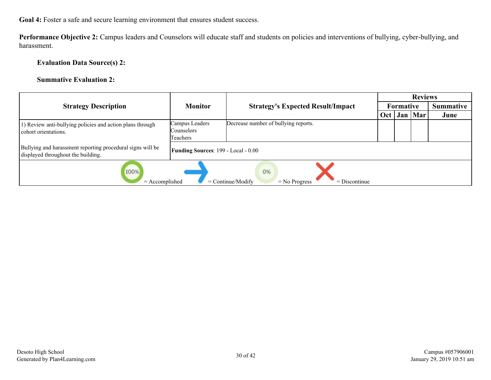**Goal 4:** Foster a safe and secure learning environment that ensures student success.

**Performance Objective 2:** Campus leaders and Counselors will educate staff and students on policies and interventions of bullying, cyber-bullying, and harassment.

#### **Evaluation Data Source(s) 2:**

#### **Summative Evaluation 2:**

|                                                                                                  |                                            |                                          |     | <b>Reviews</b>   |                  |      |  |  |  |
|--------------------------------------------------------------------------------------------------|--------------------------------------------|------------------------------------------|-----|------------------|------------------|------|--|--|--|
| <b>Strategy Description</b>                                                                      | <b>Monitor</b>                             | <b>Strategy's Expected Result/Impact</b> |     | <b>Formative</b> | <b>Summative</b> |      |  |  |  |
|                                                                                                  |                                            |                                          | Oct |                  | Jan   Mar        | June |  |  |  |
| 1) Review anti-bullying policies and action plans through<br>cohort orientations.                | Campus Leaders<br>Counselors<br>Teachers   | Decrease number of bullying reports.     |     |                  |                  |      |  |  |  |
| Bullying and harassment reporting procedural signs will be<br>displayed throughout the building. | <b>Funding Sources: 199 - Local - 0.00</b> |                                          |     |                  |                  |      |  |  |  |
| 100%<br>0%<br>$=$ Accomplished<br>$=$ Continue/Modify<br>$=$ No Progress<br>$=$ Discontinue      |                                            |                                          |     |                  |                  |      |  |  |  |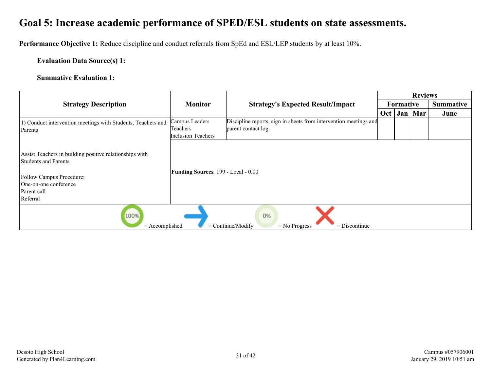<span id="page-30-0"></span>**Performance Objective 1:** Reduce discipline and conduct referrals from SpEd and ESL/LEP students by at least 10%.

#### **Evaluation Data Source(s) 1:**

#### **Summative Evaluation 1:**

|                                                                                                                                                                        |                                     |                                                                   | <b>Reviews</b>   |             |     |           |  |  |
|------------------------------------------------------------------------------------------------------------------------------------------------------------------------|-------------------------------------|-------------------------------------------------------------------|------------------|-------------|-----|-----------|--|--|
| <b>Strategy Description</b>                                                                                                                                            | <b>Monitor</b>                      | <b>Strategy's Expected Result/Impact</b>                          | <b>Formative</b> |             |     | Summative |  |  |
|                                                                                                                                                                        |                                     |                                                                   |                  | $Oct$   Jan | Mar | June      |  |  |
| 1) Conduct intervention meetings with Students, Teachers and                                                                                                           | Campus Leaders                      | Discipline reports, sign in sheets from intervention meetings and |                  |             |     |           |  |  |
| Parents                                                                                                                                                                | Teachers                            | parent contact log.                                               |                  |             |     |           |  |  |
|                                                                                                                                                                        | <b>Inclusion Teachers</b>           |                                                                   |                  |             |     |           |  |  |
| Assist Teachers in building positive relationships with<br><b>Students and Parents</b><br>Follow Campus Procedure:<br>One-on-one conference<br>Parent call<br>Referral | Funding Sources: 199 - Local - 0.00 |                                                                   |                  |             |     |           |  |  |
| 100%<br>0%<br>$=$ Continue/Modify<br>$=$ Accomplished<br>$=$ Discontinue<br>$=$ No Progress                                                                            |                                     |                                                                   |                  |             |     |           |  |  |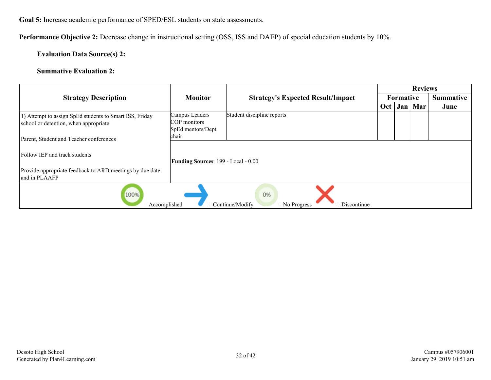**Performance Objective 2:** Decrease change in instructional setting (OSS, ISS and DAEP) of special education students by 10%.

#### **Evaluation Data Source(s) 2:**

#### **Summative Evaluation 2:**

|                                |                                          | <b>Reviews</b>                                                                                                                        |           |                  |           |  |  |
|--------------------------------|------------------------------------------|---------------------------------------------------------------------------------------------------------------------------------------|-----------|------------------|-----------|--|--|
| <b>Monitor</b>                 | <b>Strategy's Expected Result/Impact</b> |                                                                                                                                       | Formative |                  | Summative |  |  |
|                                |                                          |                                                                                                                                       |           |                  | June      |  |  |
| Campus Leaders                 |                                          |                                                                                                                                       |           |                  |           |  |  |
| COP monitors                   |                                          |                                                                                                                                       |           |                  |           |  |  |
|                                |                                          |                                                                                                                                       |           |                  |           |  |  |
|                                |                                          |                                                                                                                                       |           |                  |           |  |  |
|                                |                                          |                                                                                                                                       |           |                  |           |  |  |
|                                |                                          |                                                                                                                                       |           |                  |           |  |  |
|                                |                                          |                                                                                                                                       |           |                  |           |  |  |
|                                |                                          |                                                                                                                                       |           |                  |           |  |  |
|                                |                                          |                                                                                                                                       |           |                  |           |  |  |
| 100%<br>0%<br>$=$ Accomplished |                                          |                                                                                                                                       |           |                  |           |  |  |
|                                | SpEd mentors/Dept.<br>chair              | Student discipline reports<br><b>Funding Sources: 199 - Local - 0.00</b><br>$=$ Continue/Modify<br>$=$ Discontinue<br>$=$ No Progress |           | Oct <sub>1</sub> | Jan   Mar |  |  |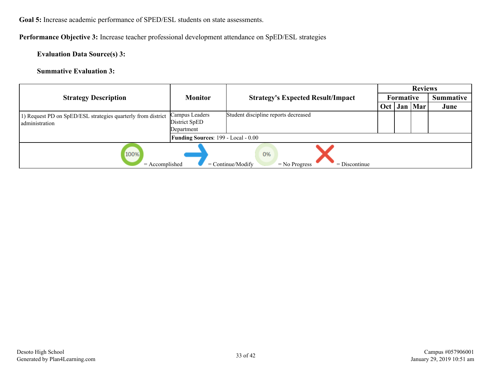**Performance Objective 3:** Increase teacher professional development attendance on SpED/ESL strategies

**Evaluation Data Source(s) 3:**

**Summative Evaluation 3:**

|                                                                                             |                                                          |                                          |     |           | <b>Reviews</b>   |      |  |
|---------------------------------------------------------------------------------------------|----------------------------------------------------------|------------------------------------------|-----|-----------|------------------|------|--|
| <b>Strategy Description</b>                                                                 | <b>Monitor</b>                                           | <b>Strategy's Expected Result/Impact</b> |     | Formative | <b>Summative</b> |      |  |
|                                                                                             |                                                          |                                          | Oct |           | Jan   Mar        | June |  |
| 1) Request PD on SpED/ESL strategies quarterly from district<br>administration              | Campus Leaders<br>District SpED                          | Student discipline reports decreased     |     |           |                  |      |  |
|                                                                                             | Department<br><b>Funding Sources: 199 - Local - 0.00</b> |                                          |     |           |                  |      |  |
| 100%<br>0%<br>$=$ Accomplished<br>$=$ Continue/Modify<br>$=$ Discontinue<br>$=$ No Progress |                                                          |                                          |     |           |                  |      |  |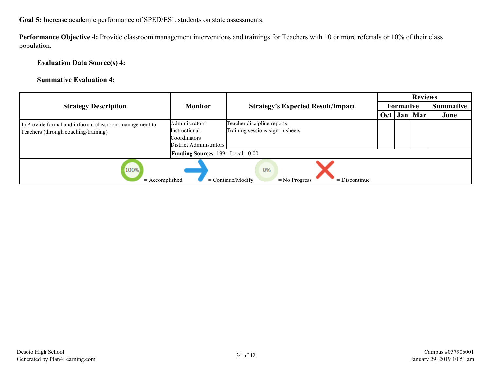**Performance Objective 4:** Provide classroom management interventions and trainings for Teachers with 10 or more referrals or 10% of their class population.

**Evaluation Data Source(s) 4:**

#### **Summative Evaluation 4:**

|                                                                                                |                                                                                   |                                                                |     |                  | <b>Reviews</b>   |      |  |
|------------------------------------------------------------------------------------------------|-----------------------------------------------------------------------------------|----------------------------------------------------------------|-----|------------------|------------------|------|--|
| <b>Strategy Description</b>                                                                    | <b>Monitor</b>                                                                    | <b>Strategy's Expected Result/Impact</b>                       |     | <b>Formative</b> | <b>Summative</b> |      |  |
|                                                                                                |                                                                                   |                                                                | Oct |                  | Jan   Mar        | June |  |
| 1) Provide formal and informal classroom management to<br>Teachers (through coaching/training) | Administrators<br><i>Instructional</i><br>Coordinators<br>District Administrators | Teacher discipline reports<br>Training sessions sign in sheets |     |                  |                  |      |  |
|                                                                                                | <b>Funding Sources: 199 - Local - 0.00</b>                                        |                                                                |     |                  |                  |      |  |
| 100%<br>0%<br>$=$ Discontinue<br>$=$ Accomplished<br>$=$ Continue/Modify<br>$=$ No Progress    |                                                                                   |                                                                |     |                  |                  |      |  |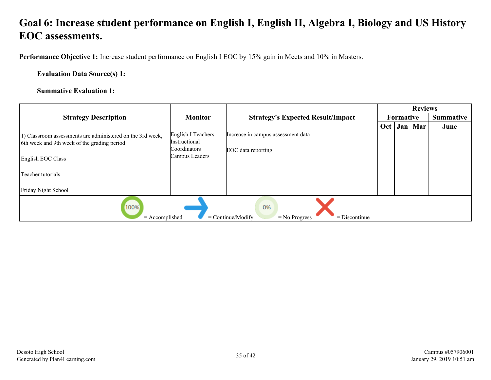<span id="page-34-0"></span>**Performance Objective 1:** Increase student performance on English I EOC by 15% gain in Meets and 10% in Masters.

**Evaluation Data Source(s) 1:**

**Summative Evaluation 1:**

|                                                                                             |                               |                                          |     |           | <b>Reviews</b> |                  |  |  |
|---------------------------------------------------------------------------------------------|-------------------------------|------------------------------------------|-----|-----------|----------------|------------------|--|--|
| <b>Strategy Description</b>                                                                 | <b>Monitor</b>                | <b>Strategy's Expected Result/Impact</b> |     | Formative |                | <b>Summative</b> |  |  |
|                                                                                             |                               |                                          | Oct |           | Jan   Mar      | June             |  |  |
| 1) Classroom assessments are administered on the 3rd week,                                  | English I Teachers            | Increase in campus assessment data       |     |           |                |                  |  |  |
| 6th week and 9th week of the grading period                                                 | Instructional<br>Coordinators |                                          |     |           |                |                  |  |  |
|                                                                                             | Campus Leaders                | EOC data reporting                       |     |           |                |                  |  |  |
| English EOC Class                                                                           |                               |                                          |     |           |                |                  |  |  |
| Teacher tutorials                                                                           |                               |                                          |     |           |                |                  |  |  |
|                                                                                             |                               |                                          |     |           |                |                  |  |  |
| Friday Night School                                                                         |                               |                                          |     |           |                |                  |  |  |
| 100%<br>0%<br>$=$ Accomplished<br>$=$ Continue/Modify<br>$=$ No Progress<br>$=$ Discontinue |                               |                                          |     |           |                |                  |  |  |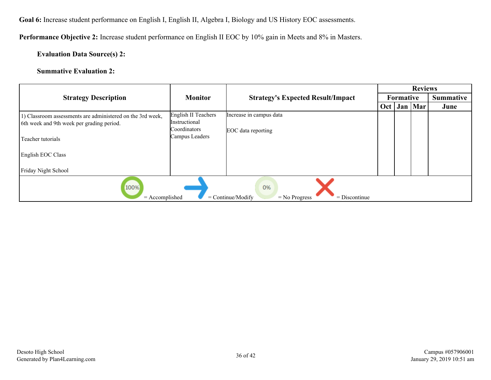**Performance Objective 2:** Increase student performance on English II EOC by 10% gain in Meets and 8% in Masters.

#### **Evaluation Data Source(s) 2:**

#### **Summative Evaluation 2:**

|                                                                                                         |                                      |                                          |     | <b>Reviews</b>   |           |                  |  |  |
|---------------------------------------------------------------------------------------------------------|--------------------------------------|------------------------------------------|-----|------------------|-----------|------------------|--|--|
| <b>Strategy Description</b>                                                                             | <b>Monitor</b>                       | <b>Strategy's Expected Result/Impact</b> |     | <b>Formative</b> |           | <b>Summative</b> |  |  |
|                                                                                                         |                                      |                                          | Oct |                  | Jan   Mar | June             |  |  |
| 1) Classroom assessments are administered on the 3rd week,<br>6th week and 9th week per grading period. | English II Teachers<br>Instructional | Increase in campus data                  |     |                  |           |                  |  |  |
|                                                                                                         | Coordinators                         | EOC data reporting                       |     |                  |           |                  |  |  |
| Teacher tutorials                                                                                       | Campus Leaders                       |                                          |     |                  |           |                  |  |  |
| English EOC Class                                                                                       |                                      |                                          |     |                  |           |                  |  |  |
| Friday Night School                                                                                     |                                      |                                          |     |                  |           |                  |  |  |
| 100%<br>0%<br>$=$ Accomplished<br>$=$ Continue/Modify<br>$=$ Discontinue<br>$=$ No Progress             |                                      |                                          |     |                  |           |                  |  |  |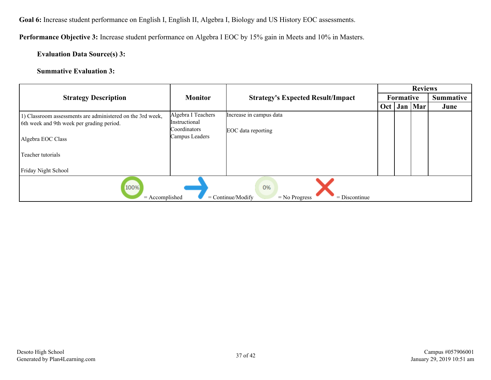**Performance Objective 3:** Increase student performance on Algebra I EOC by 15% gain in Meets and 10% in Masters.

#### **Evaluation Data Source(s) 3:**

#### **Summative Evaluation 3:**

|                                                                                                         |                                     | <b>Strategy's Expected Result/Impact</b> |     |                  | <b>Reviews</b> |      |  |
|---------------------------------------------------------------------------------------------------------|-------------------------------------|------------------------------------------|-----|------------------|----------------|------|--|
| <b>Strategy Description</b>                                                                             | <b>Monitor</b>                      |                                          |     | <b>Formative</b> | Summative      |      |  |
|                                                                                                         |                                     |                                          | Oct |                  | Jan   Mar      | June |  |
| 1) Classroom assessments are administered on the 3rd week,<br>6th week and 9th week per grading period. | Algebra I Teachers<br>Instructional | Increase in campus data                  |     |                  |                |      |  |
| Algebra EOC Class                                                                                       | Coordinators<br>Campus Leaders      | EOC data reporting                       |     |                  |                |      |  |
| Teacher tutorials                                                                                       |                                     |                                          |     |                  |                |      |  |
| Friday Night School                                                                                     |                                     |                                          |     |                  |                |      |  |
| 100%<br>0%<br>$=$ Accomplished<br>$=$ Continue/Modify<br>$=$ Discontinue<br>$=$ No Progress             |                                     |                                          |     |                  |                |      |  |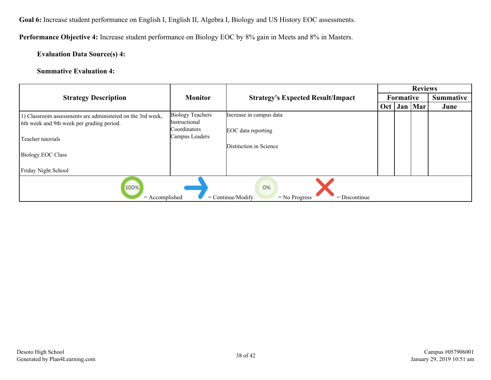**Performance Objective 4:** Increase student performance on Biology EOC by 8% gain in Meets and 8% in Masters.

#### **Evaluation Data Source(s) 4:**

#### **Summative Evaluation 4:**

|                                                                                                         |                                                 |                                          | <b>Reviews</b> |                  |           |      |  |
|---------------------------------------------------------------------------------------------------------|-------------------------------------------------|------------------------------------------|----------------|------------------|-----------|------|--|
| <b>Strategy Description</b>                                                                             | <b>Monitor</b>                                  | <b>Strategy's Expected Result/Impact</b> |                | <b>Formative</b> | Summative |      |  |
|                                                                                                         |                                                 |                                          | Oct            |                  | Jan   Mar | June |  |
| 1) Classroom assessments are administered on the 3rd week,<br>6th week and 9th week per grading period. | <b>Biology Teachers</b><br><i>Instructional</i> | Increase in campus data                  |                |                  |           |      |  |
| Teacher tutorials                                                                                       | Coordinators<br>Campus Leaders                  | EOC data reporting                       |                |                  |           |      |  |
|                                                                                                         |                                                 | Distinction in Science                   |                |                  |           |      |  |
| <b>Biology EOC Class</b>                                                                                |                                                 |                                          |                |                  |           |      |  |
| Friday Night School                                                                                     |                                                 |                                          |                |                  |           |      |  |
| 100%<br>0%<br>$=$ Accomplished<br>$=$ Continue/Modify<br>$=$ Discontinue<br>$=$ No Progress             |                                                 |                                          |                |                  |           |      |  |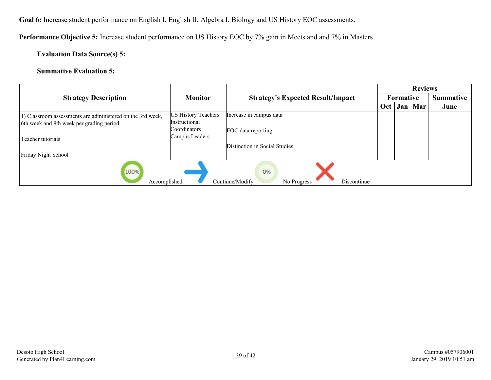**Performance Objective 5:** Increase student performance on US History EOC by 7% gain in Meets and and 7% in Masters.

#### **Evaluation Data Source(s) 5:**

#### **Summative Evaluation 5:**

|                                                                                                         |                                                                    | <b>Strategy's Expected Result/Impact</b>      |     |           | <b>Reviews</b> |                  |  |
|---------------------------------------------------------------------------------------------------------|--------------------------------------------------------------------|-----------------------------------------------|-----|-----------|----------------|------------------|--|
| <b>Strategy Description</b>                                                                             | <b>Monitor</b>                                                     |                                               |     | Formative |                | <b>Summative</b> |  |
|                                                                                                         |                                                                    |                                               | Oct |           | Jan   Mar      | June             |  |
| 1) Classroom assessments are administered on the 3rd week,<br>6th week and 9th week per grading period. | <b>US History Teachers</b><br><i>Instructional</i><br>Coordinators | Increase in campus data<br>EOC data reporting |     |           |                |                  |  |
| Teacher tutorials                                                                                       | Campus Leaders                                                     | Distinction in Social Studies                 |     |           |                |                  |  |
| Friday Night School                                                                                     |                                                                    |                                               |     |           |                |                  |  |
| 100%<br>0%<br>$=$ Accomplished<br>$=$ Continue/Modify<br>$=$ No Progress<br>$=$ Discontinue             |                                                                    |                                               |     |           |                |                  |  |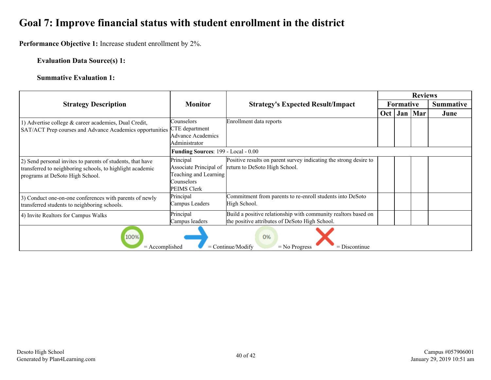### <span id="page-39-0"></span>**Goal 7: Improve financial status with student enrollment in the district**

**Performance Objective 1:** Increase student enrollment by 2%.

#### **Evaluation Data Source(s) 1:**

#### **Summative Evaluation 1:**

|                                                                                             |                                     |                                                                   |                  |     | <b>Reviews</b> |                  |
|---------------------------------------------------------------------------------------------|-------------------------------------|-------------------------------------------------------------------|------------------|-----|----------------|------------------|
| <b>Strategy Description</b>                                                                 | <b>Monitor</b>                      | <b>Strategy's Expected Result/Impact</b>                          | <b>Formative</b> |     |                | <b>Summative</b> |
|                                                                                             |                                     |                                                                   | Oct              | Jan | Mar            | June             |
| 1) Advertise college & career academies, Dual Credit,                                       | Counselors                          | Enrollment data reports                                           |                  |     |                |                  |
| SAT/ACT Prep courses and Advance Academics opportunities CTE department                     |                                     |                                                                   |                  |     |                |                  |
|                                                                                             | Advance Academics                   |                                                                   |                  |     |                |                  |
|                                                                                             | Administrator                       |                                                                   |                  |     |                |                  |
|                                                                                             | Funding Sources: 199 - Local - 0.00 |                                                                   |                  |     |                |                  |
| 2) Send personal invites to parents of students, that have                                  | Principal                           | Positive results on parent survey indicating the strong desire to |                  |     |                |                  |
| transferred to neighboring schools, to highlight academic                                   | Associate Principal of              | return to DeSoto High School.                                     |                  |     |                |                  |
| programs at DeSoto High School.                                                             | Teaching and Learning               |                                                                   |                  |     |                |                  |
|                                                                                             | Counselors                          |                                                                   |                  |     |                |                  |
|                                                                                             | <b>PEIMS Clerk</b>                  |                                                                   |                  |     |                |                  |
| 3) Conduct one-on-one conferences with parents of newly                                     | Principal                           | Commitment from parents to re-enroll students into DeSoto         |                  |     |                |                  |
| transferred students to neighboring schools.                                                | Campus Leaders                      | High School.                                                      |                  |     |                |                  |
| 4) Invite Realtors for Campus Walks                                                         | Principal                           | Build a positive relationship with community realtors based on    |                  |     |                |                  |
|                                                                                             | Campus leaders                      | the positive attributes of DeSoto High School.                    |                  |     |                |                  |
| 100%<br>0%<br>$=$ Accomplished<br>$=$ Continue/Modify<br>$=$ Discontinue<br>$=$ No Progress |                                     |                                                                   |                  |     |                |                  |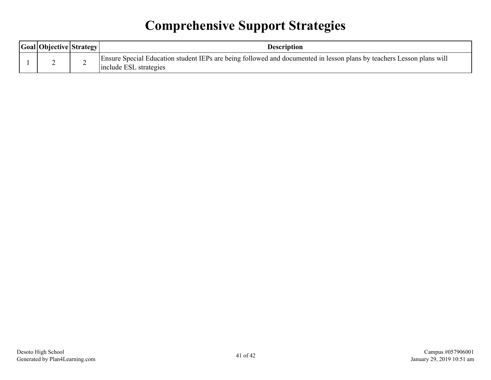# **Comprehensive Support Strategies**

<span id="page-40-0"></span>

| Goal Objective Strategy | Description                                                                                                                                     |
|-------------------------|-------------------------------------------------------------------------------------------------------------------------------------------------|
|                         | Ensure Special Education student IEPs are being followed and documented in lesson plans by teachers Lesson plans will<br>include ESL strategies |